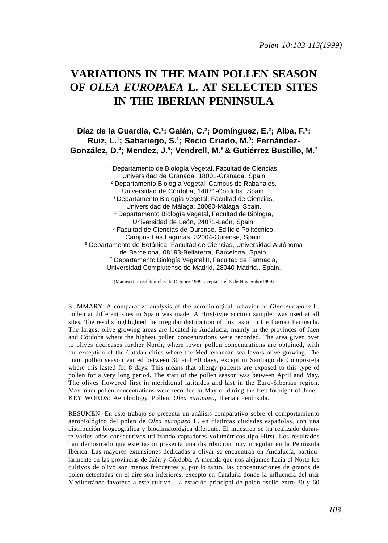# **VARIATIONS IN THE MAIN POLLEN SEASON OF** *OLEA EUROPAEA* **L. AT SELECTED SITES IN THE IBERIAN PENINSULA**

# **Díaz de la Guardia, C.1 ; Galán, C.2 ; Domínguez, E.2; Alba, F.1 ; Ruiz, L.1; Sabariego, S.1; Recio Criado, M.3; Fernández-González, D.4 ; Mendez, J.5 ; Vendrell, M.6 & Gutiérrez Bustillo, M.7**

1 Departamento de Biología Vegetal, Facultad de Ciencias, Universidad de Granada, 18001-Granada, Spain 2 Departamento Biología Vegetal, Campus de Rabanales, Universidad de Córdoba, 14071-Córdoba, Spain. 3 Departamento Biología Vegetal, Facultad de Ciencias, Universidad de Málaga, 28080-Málaga, Spain. 4 Departamento Biología Vegetal, Facultad de Biología, Universidad de León, 24071-León, Spain. 5 Facultad de Ciencias de Ourense, Edificio Politécnico, Campus Las Lagunas, 32004-Ourense, Spain. 6 Departamento de Botánica, Facultad de Ciencias, Universidad Autónoma de Barcelona, 08193-Bellaterra, Barcelona, Spain. 7 Departamento Biología Vegetal II, Facultad de Farmacia, Universidad Complutense de Madrid, 28040-Madrid,. Spain.

(Manuscrito recibido el 8 de Octubre 1999, aceptado el 5 de Noviembre1999)

SUMMARY: A comparative analysis of the aerobiological behavior of *Olea europaea* L. pollen at different sites in Spain was made. A Hirst-type suction sampler was used at all sites. The results highlighted the irregular distribution of this taxon in the Iberian Peninsula. The largest olive growing areas are located in Andalucia, mainly in the provinces of Jaén and Córdoba where the highest pollen concentrations were recorded. The area given over to olives decreases further North, where lower pollen concentrations are obtained, with the exception of the Catalan cities where the Mediterranean sea favors olive growing. The main pollen season varied between 30 and 60 days, except in Santiago de Compostela where this lasted for 8 days. This means that allergy patients are exposed to this type of pollen for a very long period. The start of the pollen season was between April and May. The olives flowered first in meridional latitudes and last in the Euro-Siberian region. Maximum pollen concentrations were recorded in May or during the first fortnight of June. KEY WORDS: Aerobiology, Pollen, *Olea europaea*, Iberian Península.

RESUMEN: En este trabajo se presenta un análisis comparativo sobre el comportamiento aerobiológico del polen de *Olea europaea* L. en distintas ciudades españolas, con una distribución biogeográfica y bioclimatológica diferente. El muestreo se ha realizado durante varios años consecutivos utilizando captadores volumétricos tipo Hirst. Los resultados han demostrado que este taxon presenta una distribución muy irregular en la Península Ibérica. Las mayores extensiones dedicadas a olivar se encuentran en Andalucía, particularmente en las provincias de Jaén y Córdoba. A medida que nos alejamos hacia el Norte los cultivos de olivo son menos frecuentes y, por lo tanto, las concentraciones de granos de polen detectadas en el aire son inferiores, excepto en Cataluña donde la influencia del mar Mediterráneo favorece a este cultivo. La estación principal de polen osciló entre 30 y 60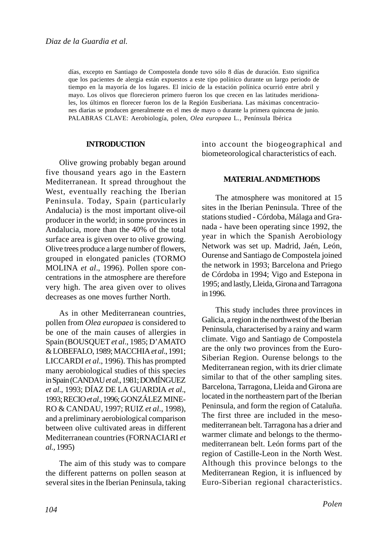días, excepto en Santiago de Compostela donde tuvo sólo 8 días de duración. Esto significa que los pacientes de alergia están expuestos a este tipo polínico durante un largo periodo de tiempo en la mayoría de los lugares. El inicio de la estación polínica ocurrió entre abril y mayo. Los olivos que florecieron primero fueron los que crecen en las latitudes meridionales, los últimos en florecer fueron los de la Región Eusiberiana. Las máximas concentraciones diarias se producen generalmente en el mes de mayo o durante la primera quincena de junio. PALABRAS CLAVE: Aerobiología, polen, *Olea europaea* L*.*, Península Ibérica

#### **INTRODUCTION**

Olive growing probably began around five thousand years ago in the Eastern Mediterranean. It spread throughout the West, eventually reaching the Iberian Peninsula. Today, Spain (particularly Andalucia) is the most important olive-oil producer in the world; in some provinces in Andalucia, more than the 40% of the total surface area is given over to olive growing. Olive trees produce a large number of flowers, grouped in elongated panicles (TORMO MOLINA *et al*., 1996). Pollen spore concentrations in the atmosphere are therefore very high. The area given over to olives decreases as one moves further North.

As in other Mediterranean countries, pollen from *Olea europaea* is considered to be one of the main causes of allergies in Spain (BOUSQUET *et al*., 1985; D'AMATO & LOBEFALO, 1989; MACCHIA *et al*., 1991; LICCARDI *et al*., 1996). This has prompted many aerobiological studies of this species in Spain (CANDAU *et al*., 1981; DOMÍNGUEZ *et al*., 1993; DÍAZ DE LA GUARDIA *et al*., 1993; RECIO *et al*., 1996; GONZÁLEZ MINE-RO & CANDAU, 1997; RUIZ *et al*., 1998), and a preliminary aerobiological comparison between olive cultivated areas in different Mediterranean countries (FORNACIARI *et al.,* 1995)

The aim of this study was to compare the different patterns on pollen season at several sites in the Iberian Peninsula, taking into account the biogeographical and biometeorological characteristics of each.

## **MATERIAL AND METHODS**

The atmosphere was monitored at 15 sites in the Iberian Peninsula. Three of the stations studied - Córdoba, Málaga and Granada - have been operating since 1992, the year in which the Spanish Aerobiology Network was set up. Madrid, Jaén, León, Ourense and Santiago de Compostela joined the network in 1993; Barcelona and Priego de Córdoba in 1994; Vigo and Estepona in 1995; and lastly, Lleida, Girona and Tarragona in 1996.

This study includes three provinces in Galicia, a region in the northwest of the Iberian Peninsula, characterised by a rainy and warm climate. Vigo and Santiago de Compostela are the only two provinces from the Euro-Siberian Region. Ourense belongs to the Mediterranean region, with its drier climate similar to that of the other sampling sites. Barcelona, Tarragona, Lleida and Girona are located in the northeastern part of the Iberian Peninsula, and form the region of Cataluña. The first three are included in the mesomediterranean belt. Tarragona has a drier and warmer climate and belongs to the thermomediterranean belt. León forms part of the region of Castille-Leon in the North West. Although this province belongs to the Mediterranean Region, it is influenced by Euro-Siberian regional characteristics.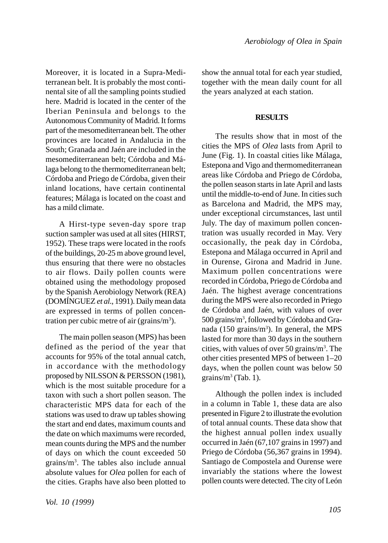Moreover, it is located in a Supra-Mediterranean belt. It is probably the most continental site of all the sampling points studied here. Madrid is located in the center of the Iberian Peninsula and belongs to the Autonomous Community of Madrid. It forms part of the mesomediterranean belt. The other provinces are located in Andalucia in the South; Granada and Jaén are included in the mesomediterranean belt; Córdoba and Málaga belong to the thermomediterranean belt; Córdoba and Priego de Córdoba, given their inland locations, have certain continental features; Málaga is located on the coast and has a mild climate.

A Hirst-type seven-day spore trap suction sampler was used at all sites (HIRST, 1952). These traps were located in the roofs of the buildings, 20-25 m above ground level, thus ensuring that there were no obstacles to air flows. Daily pollen counts were obtained using the methodology proposed by the Spanish Aerobiology Network (REA) (DOMÍNGUEZ *et al*., 1991). Daily mean data are expressed in terms of pollen concentration per cubic metre of air (grains/ $m<sup>3</sup>$ ).

The main pollen season (MPS) has been defined as the period of the year that accounts for 95% of the total annual catch, in accordance with the methodology proposed by NILSSON & PERSSON (1981), which is the most suitable procedure for a taxon with such a short pollen season. The characteristic MPS data for each of the stations was used to draw up tables showing the start and end dates, maximum counts and the date on which maximums were recorded, mean counts during the MPS and the number of days on which the count exceeded 50 grains/m3 . The tables also include annual absolute values for *Olea* pollen for each of the cities. Graphs have also been plotted to

show the annual total for each year studied, together with the mean daily count for all the years analyzed at each station.

## **RESULTS**

The results show that in most of the cities the MPS of *Olea* lasts from April to June (Fig. 1). In coastal cities like Málaga, Estepona and Vigo and thermomediterranean areas like Córdoba and Priego de Córdoba, the pollen season starts in late April and lasts until the middle-to-end of June. In cities such as Barcelona and Madrid, the MPS may, under exceptional circumstances, last until July. The day of maximum pollen concentration was usually recorded in May. Very occasionally, the peak day in Córdoba, Estepona and Málaga occurred in April and in Ourense, Girona and Madrid in June. Maximum pollen concentrations were recorded in Córdoba, Priego de Córdoba and Jaén. The highest average concentrations during the MPS were also recorded in Priego de Córdoba and Jaén, with values of over 500 grains/m<sup>3</sup>, followed by Córdoba and Granada (150 grains/ $m<sup>3</sup>$ ). In general, the MPS lasted for more than 30 days in the southern cities, with values of over 50 grains/m3 . The other cities presented MPS of between 1–20 days, when the pollen count was below 50 grains/ $m^3$  (Tab. 1).

Although the pollen index is included in a column in Table 1, these data are also presented in Figure 2 to illustrate the evolution of total annual counts. These data show that the highest annual pollen index usually occurred in Jaén (67,107 grains in 1997) and Priego de Córdoba (56,367 grains in 1994). Santiago de Compostela and Ourense were invariably the stations where the lowest pollen counts were detected. The city of León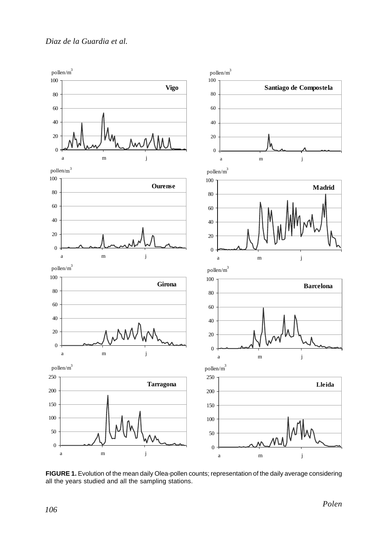

**FIGURE 1.** Evolution of the mean daily Olea-pollen counts; representation of the daily average considering all the years studied and all the sampling stations.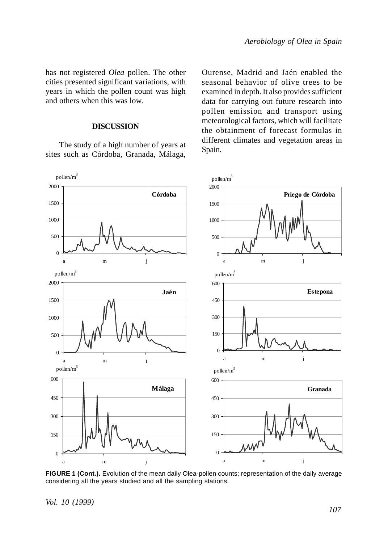has not registered *Olea* pollen. The other cities presented significant variations, with years in which the pollen count was high and others when this was low.

#### **DISCUSSION**

The study of a high number of years at sites such as Córdoba, Granada, Málaga, Ourense, Madrid and Jaén enabled the seasonal behavior of olive trees to be examined in depth. It also provides sufficient data for carrying out future research into pollen emission and transport using meteorological factors, which will facilitate the obtainment of forecast formulas in different climates and vegetation areas in Spain.



FIGURE 1 (Cont.). Evolution of the mean daily Olea-pollen counts; representation of the daily average considering all the years studied and all the sampling stations.

*Vol. 10 (1999)*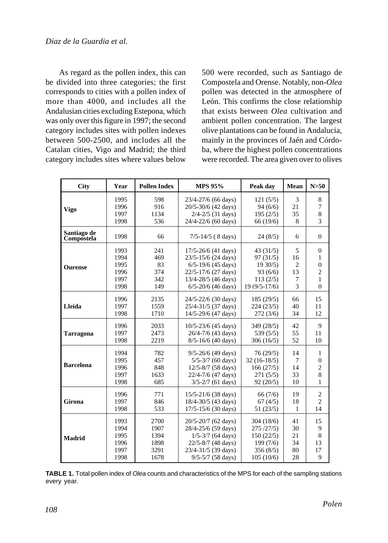As regard as the pollen index, this can be divided into three categories; the first corresponds to cities with a pollen index of more than 4000, and includes all the Andalusian cities excluding Estepona, which was only over this figure in 1997; the second category includes sites with pollen indexes between 500-2500, and includes all the Catalan cities, Vigo and Madrid; the third category includes sites where values below

500 were recorded, such as Santiago de Compostela and Orense. Notably, non-*Olea* pollen was detected in the atmosphere of León. This confirms the close relationship that exists between *Olea* cultivation and ambient pollen concentration. The largest olive plantations can be found in Andalucia, mainly in the provinces of Jaén and Córdoba, where the highest pollen concentrations were recorded. The area given over to olives

| <b>City</b>               | Year | <b>Pollen Index</b> | <b>MPS 95%</b>          | Peak day      | Mean           | N>50                    |
|---------------------------|------|---------------------|-------------------------|---------------|----------------|-------------------------|
|                           | 1995 | 598                 | 23/4-27/6 (66 days)     | 121(5/5)      | 3              | 8                       |
| <b>Vigo</b>               | 1996 | 916                 | 20/5-30/6 (42 days)     | 94(6/6)       | 21             | 7                       |
|                           | 1997 | 1134                | $2/4 - 2/5$ (31 days)   | 195(2/5)      | 35             | 8                       |
|                           | 1998 | 536                 | 24/4-22/6 (60 days)     | 66 (19/6)     | 8              | 3                       |
| Santiago de<br>Compostela | 1998 | 66                  | $7/5 - 14/5$ (8 days)   | 24(8/5)       | 6              | $\Omega$                |
| <b>Ourense</b>            | 1993 | 241                 | $17/5 - 26/6$ (41 days) | 43(31/5)      | 5              | $\mathbf{0}$            |
|                           | 1994 | 469                 | 23/5-15/6 (24 days)     | 97(31/5)      | 16             | $\mathbf{1}$            |
|                           | 1995 | 83                  | $6/5 - 19/6$ (45 days)  | 1930/5        | $\overline{c}$ | $\boldsymbol{0}$        |
|                           | 1996 | 374                 | 22/5-17/6 (27 days)     | 93(6/6)       | 13             | $\overline{\mathbf{c}}$ |
|                           | 1997 | 342                 | 13/4-28/5 (46 days)     | 113(2/5)      | 7              | $\mathbf{1}$            |
|                           | 1998 | 149                 | $6/5 - 20/6$ (46 days)  | 19 (9/5-17/6) | 3              | $\overline{0}$          |
| Lleida                    | 1996 | 2135                | 24/5-22/6 (30 days)     | 185(29/5)     | 66             | 15                      |
|                           | 1997 | 1559                | 25/4-31/5 (37 days)     | 224(23/5)     | 40             | 11                      |
|                           | 1998 | 1710                | 14/5-29/6 (47 days)     | 272(3/6)      | 34             | 12                      |
| Tarragona                 | 1996 | 2033                | $10/5 - 23/6$ (45 days) | 349 (28/5)    | 42             | 9                       |
|                           | 1997 | 2473                | 26/4-7/6 (43 days)      | 539 (5/5)     | 55             | 11                      |
|                           | 1998 | 2219                | $8/5 - 16/6$ (40 days)  | 306(16/5)     | 52             | 10                      |
| <b>Barcelona</b>          | 1994 | 782                 | $9/5 - 26/6$ (49 days)  | 76(29/5)      | 14             | $\mathbf{1}$            |
|                           | 1995 | 457                 | $5/5 - 3/7$ (60 days)   | $32(16-18/5)$ | 7              | $\boldsymbol{0}$        |
|                           | 1996 | 848                 | 12/5-8/7 (58 days)      | 166(27/5)     | 14             | $\overline{\mathbf{c}}$ |
|                           | 1997 | 1633                | 22/4-7/6 (47 days)      | 271(5/5)      | 33             | 8                       |
|                           | 1998 | 685                 | $3/5 - 2/7$ (61 days)   | 92(20/5)      | 10             | 1                       |
| Girona                    | 1996 | 771                 | $15/5 - 21/6$ (38 days) | 66(7/6)       | 19             | $\overline{c}$          |
|                           | 1997 | 846                 | 18/4-30/5 (43 days)     | 67(4/5)       | 18             | $\overline{c}$          |
|                           | 1998 | 533                 | $17/5 - 15/6$ (30 days) | 51(23/5)      | $\mathbf{1}$   | 14                      |
| <b>Madrid</b>             | 1993 | 2700                | 20/5-20/7 (62 days)     | 304 (18/6)    | 41             | 15                      |
|                           | 1994 | 1907                | 28/4-25/6 (59 days)     | 275/27/5      | 30             | 9                       |
|                           | 1995 | 1394                | $1/5 - 3/7$ (64 days)   | 150(22/5)     | 21             | 8                       |
|                           | 1996 | 1898                | 22/5-8/7 (48 days)      | 199(7/6)      | 34             | 13                      |
|                           | 1997 | 3291                | 23/4-31/5 (39 days)     | 356(8/5)      | 80             | 17                      |
|                           | 1998 | 1678                | $9/5 - 5/7$ (58 days)   | 105(10/6)     | 28             | 9                       |

**TABLE 1.** Total pollen index of *Olea* counts and characteristics of the MPS for each of the sampling stations every year.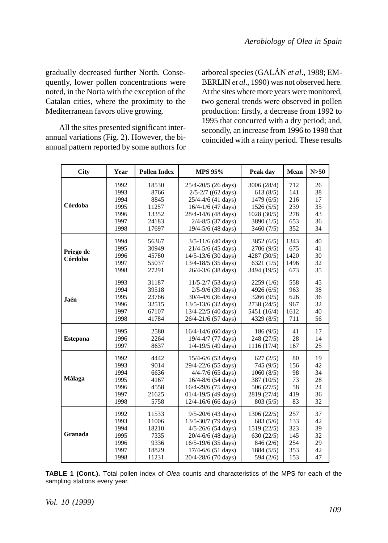gradually decreased further North. Consequently, lower pollen concentrations were noted, in the Norta with the exception of the Catalan cities, where the proximity to the Mediterranean favors olive growing.

All the sites presented significant interannual variations (Fig. 2). However, the biannual pattern reported by some authors for arboreal species (GALÁN *et al*., 1988; EM-BERLIN *et al*., 1990) was not observed here. At the sites where more years were monitored, two general trends were observed in pollen production: firstly, a decrease from 1992 to 1995 that concurred with a dry period; and, secondly, an increase from 1996 to 1998 that coincided with a rainy period. These results

| <b>City</b>          | Year | <b>Pollen Index</b> | <b>MPS 95%</b>          | Peak day    | Mean | N>50 |
|----------------------|------|---------------------|-------------------------|-------------|------|------|
| Córdoba              | 1992 | 18530               | 25/4-20/5 (26 days)     | 3006 (28/4) | 712  | 26   |
|                      | 1993 | 8766                | $2/5 - 2/7$ ((62 days)  | 613(8/5)    | 141  | 38   |
|                      | 1994 | 8845                | $25/4 - 4/6$ (41 days)  | 1479(6/5)   | 216  | 17   |
|                      | 1995 | 11257               | $16/4 - 1/6$ (47 days)  | 1526(5/5)   | 239  | 35   |
|                      | 1996 | 13352               | 28/4-14/6 (48 days)     | 1028(30/5)  | 278  | 43   |
|                      | 1997 | 24183               | $2/4 - 8/5$ (37 days)   | 3890 (1/5)  | 653  | 36   |
|                      | 1998 | 17697               | 19/4-5/6 (48 days)      | 3460(7/5)   | 352  | 34   |
| Priego de<br>Córdoba | 1994 | 56367               | $3/5 - 11/6$ (40 days)  | 3852(6/5)   | 1343 | 40   |
|                      | 1995 | 30949               | $21/4 - 5/6$ (45 days)  | 2706 (9/5)  | 675  | 41   |
|                      | 1996 | 45780               | 14/5-13/6 (30 days)     | 4287 (30/5) | 1420 | 30   |
|                      | 1997 | 55037               | 13/4-18/5 (35 days)     | 6321(1/5)   | 1496 | 32   |
|                      | 1998 | 27291               | 26/4-3/6 (38 days)      | 3494 (19/5) | 673  | 35   |
| Jaén                 | 1993 | 31187               | $11/5 - 2/7$ (53 days)  | 2259(1/6)   | 558  | 45   |
|                      | 1994 | 39518               | $2/5 - 9/6$ (39 days)   | 4926 (6/5)  | 963  | 38   |
|                      | 1995 | 23766               | 30/4-4/6 (36 days)      | 3266(9/5)   | 626  | 36   |
|                      | 1996 | 32515               | 13/5-13/6 (32 days)     | 2738 (24/5) | 967  | 32   |
|                      | 1997 | 67107               | 13/4-22/5 (40 days)     | 5451 (16/4) | 1612 | 40   |
|                      | 1998 | 41784               | 26/4-21/6 (57 days)     | 4329 (8/5)  | 711  | 56   |
| <b>Estepona</b>      | 1995 | 2580                | $16/4 - 14/6$ (60 days) | 186(9/5)    | 41   | 17   |
|                      | 1996 | 2264                | 19/4-4/7 (77 days)      | 248 (27/5)  | 28   | 14   |
|                      | 1997 | 8637                | 1/4-19/5 (49 days)      | 1116 (17/4) | 167  | 25   |
| Málaga               | 1992 | 4442                | $15/4 - 6/6$ (53 days)  | 627(2/5)    | 80   | 19   |
|                      | 1993 | 9014                | 29/4-22/6 (55 days)     | 745 (9/5)   | 156  | 42   |
|                      | 1994 | 6636                | $4/4 - 7/6$ (65 days)   | 1060(8/5)   | 98   | 34   |
|                      | 1995 | 4167                | 16/4-8/6 (54 days)      | 387 (10/5)  | 73   | 28   |
|                      | 1996 | 4558                | 16/4-29/6 (75 days)     | 506(27/5)   | 58   | 24   |
|                      | 1997 | 21625               | $01/4 - 19/5$ (49 days) | 2819 (27/4) | 419  | 36   |
|                      | 1998 | 5758                | 12/4-16/6 (66 days)     | 803(5/5)    | 83   | 32   |
| Granada              | 1992 | 11533               | $9/5 - 20/6$ (43 days)  | 1306 (22/5) | 257  | 37   |
|                      | 1993 | 11006               | 13/5-30/7 (79 days)     | 683(5/6)    | 133  | 42   |
|                      | 1994 | 18210               | $4/5 - 26/6$ (54 days)  | 1519 (22/5) | 323  | 39   |
|                      | 1995 | 7335                | 20/4-6/6 (48 days)      | 630(22/5)   | 145  | 32   |
|                      | 1996 | 9336                | 16/5-19/6 (35 days)     | 846 (2/6)   | 254  | 29   |
|                      | 1997 | 18829               | 17/4-6/6 (51 days)      | 1884 (5/5)  | 353  | 42   |
|                      | 1998 | 11231               | 20/4-28/6 (70 days)     | 594 (2/6)   | 153  | 47   |

**TABLE 1 (Cont.).** Total pollen index of *Olea* counts and characteristics of the MPS for each of the sampling stations every year.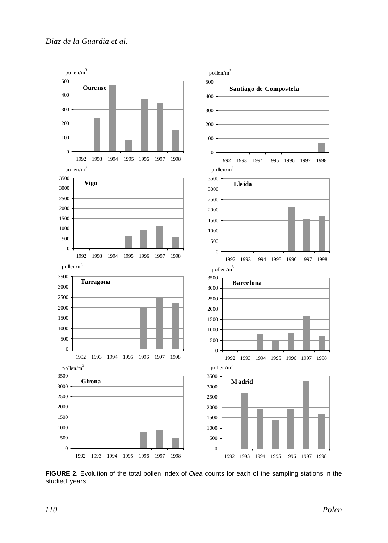

**FIGURE 2.** Evolution of the total pollen index of *Olea* counts for each of the sampling stations in the studied years.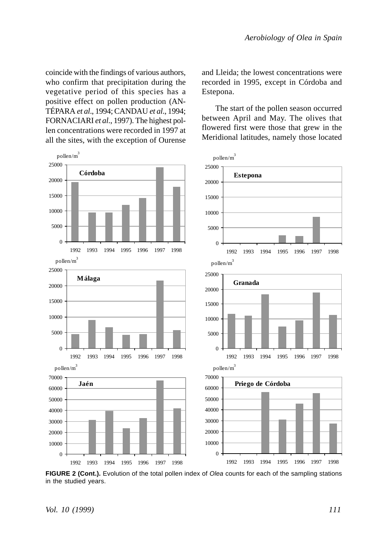coincide with the findings of various authors, who confirm that precipitation during the vegetative period of this species has a positive effect on pollen production (AN-TÉPARA *et al*., 1994; CANDAU *et al*., 1994; FORNACIARI *et al*., 1997). The highest pollen concentrations were recorded in 1997 at all the sites, with the exception of Ourense



**FIGURE 2 (Cont.).** Evolution of the total pollen index of *Olea* counts for each of the sampling stations in the studied years.

and Lleida; the lowest concentrations were recorded in 1995, except in Córdoba and Estepona.

The start of the pollen season occurred between April and May. The olives that flowered first were those that grew in the Meridional latitudes, namely those located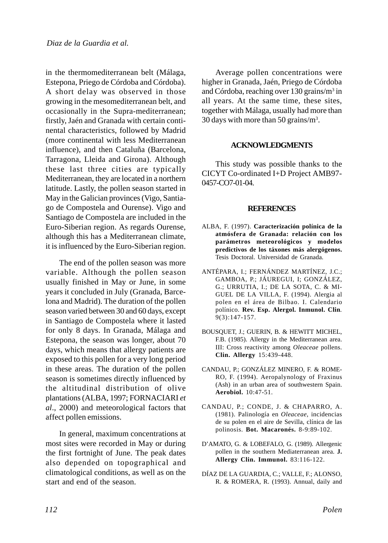in the thermomediterranean belt (Málaga, Estepona, Priego de Córdoba and Córdoba). A short delay was observed in those growing in the mesomediterranean belt, and occasionally in the Supra-mediterranean; firstly, Jaén and Granada with certain continental characteristics, followed by Madrid (more continental with less Mediterranean influence), and then Cataluña (Barcelona, Tarragona, Lleida and Girona). Although these last three cities are typically Mediterranean, they are located in a northern latitude. Lastly, the pollen season started in May in the Galician provinces (Vigo, Santiago de Compostela and Ourense). Vigo and Santiago de Compostela are included in the Euro-Siberian region. As regards Ourense, although this has a Mediterranean climate, it is influenced by the Euro-Siberian region.

The end of the pollen season was more variable. Although the pollen season usually finished in May or June, in some years it concluded in July (Granada, Barcelona and Madrid). The duration of the pollen season varied between 30 and 60 days, except in Santiago de Compostela where it lasted for only 8 days. In Granada, Málaga and Estepona, the season was longer, about 70 days, which means that allergy patients are exposed to this pollen for a very long period in these areas. The duration of the pollen season is sometimes directly influenced by the altitudinal distribution of olive plantations (ALBA, 1997; FORNACIARI *et al*., 2000) and meteorological factors that affect pollen emissions.

In general, maximum concentrations at most sites were recorded in May or during the first fortnight of June. The peak dates also depended on topographical and climatological conditions, as well as on the start and end of the season.

Average pollen concentrations were higher in Granada, Jaén, Priego de Córdoba and Córdoba, reaching over 130 grains/m<sup>3</sup> in all years. At the same time, these sites, together with Málaga, usually had more than 30 days with more than 50 grains/ $m^3$ .

## **ACKNOWLEDGMENTS**

This study was possible thanks to the CICYT Co-ordinated I+D Project AMB97- 0457-CO7-01-04.

## **REFERENCES**

- ALBA, F. (1997). **Caracterización polínica de la atmósfera de Granada: relación con los parámetros meteorológicos y modelos predictivos de los táxones más alergógenos.** Tesis Doctoral. Universidad de Granada.
- ANTÉPARA, I.; FERNÁNDEZ MARTÍNEZ, J.C.; GAMBOA, P.; JÁUREGUI, I; GONZÁLEZ, G.; URRUTIA, I.; DE LA SOTA, C. & MI-GUEL DE LA VILLA, F. (1994). Alergia al polen en el área de Bilbao. I. Calendario polínico. **Rev. Esp. Alergol. Inmunol. Clin***.* 9(3):147-157.
- BOUSQUET, J.; GUERIN, B. & HEWITT MICHEL, F.B. (1985). Allergy in the Mediterranean area. III: Cross reactivity among *Oleaceae* pollens. **Clin. Allergy** 15:439-448.
- CANDAU, P.; GONZÁLEZ MINERO, F. & ROME-RO, F. (1994). Aeropalynology of Fraxinus (Ash) in an urban area of southwestern Spain. **Aerobiol.** 10:47-51.
- CANDAU, P.; CONDE, J. & CHAPARRO, A. (1981). Palinología en *Oleaceae*, incidencias de su polen en el aire de Sevilla, clínica de las polinosis. **Bot. Macaronés.** 8-9:89-102.
- D'AMATO, G. & LOBEFALO, G. (1989). Allergenic pollen in the southern Mediaterranean area. **J. Allergy Clin. Immunol.** 83:116-122.
- DÍAZ DE LA GUARDIA, C.; VALLE, F.; ALONSO, R. & ROMERA, R. (1993). Annual, daily and